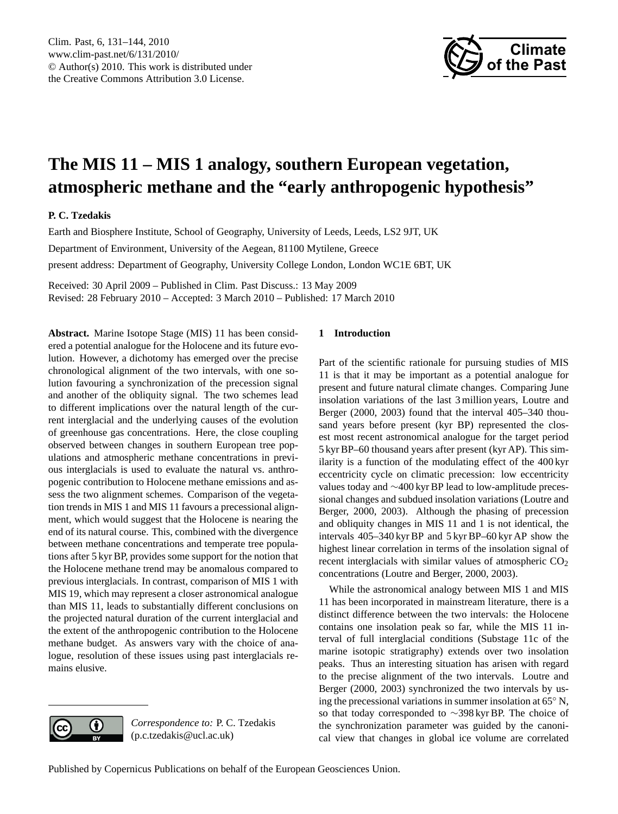

# <span id="page-0-0"></span>**The MIS 11 – MIS 1 analogy, southern European vegetation, atmospheric methane and the "early anthropogenic hypothesis"**

# **P. C. Tzedakis**

Earth and Biosphere Institute, School of Geography, University of Leeds, Leeds, LS2 9JT, UK Department of Environment, University of the Aegean, 81100 Mytilene, Greece present address: Department of Geography, University College London, London WC1E 6BT, UK

Received: 30 April 2009 – Published in Clim. Past Discuss.: 13 May 2009 Revised: 28 February 2010 – Accepted: 3 March 2010 – Published: 17 March 2010

**Abstract.** Marine Isotope Stage (MIS) 11 has been considered a potential analogue for the Holocene and its future evolution. However, a dichotomy has emerged over the precise chronological alignment of the two intervals, with one solution favouring a synchronization of the precession signal and another of the obliquity signal. The two schemes lead to different implications over the natural length of the current interglacial and the underlying causes of the evolution of greenhouse gas concentrations. Here, the close coupling observed between changes in southern European tree populations and atmospheric methane concentrations in previous interglacials is used to evaluate the natural vs. anthropogenic contribution to Holocene methane emissions and assess the two alignment schemes. Comparison of the vegetation trends in MIS 1 and MIS 11 favours a precessional alignment, which would suggest that the Holocene is nearing the end of its natural course. This, combined with the divergence between methane concentrations and temperate tree populations after 5 kyr BP, provides some support for the notion that the Holocene methane trend may be anomalous compared to previous interglacials. In contrast, comparison of MIS 1 with MIS 19, which may represent a closer astronomical analogue than MIS 11, leads to substantially different conclusions on the projected natural duration of the current interglacial and the extent of the anthropogenic contribution to the Holocene methane budget. As answers vary with the choice of analogue, resolution of these issues using past interglacials remains elusive.

## **1 Introduction**

Part of the scientific rationale for pursuing studies of MIS 11 is that it may be important as a potential analogue for present and future natural climate changes. Comparing June insolation variations of the last 3 million years, Loutre and Berger (2000, 2003) found that the interval 405–340 thousand years before present (kyr BP) represented the closest most recent astronomical analogue for the target period 5 kyr BP–60 thousand years after present (kyr AP). This similarity is a function of the modulating effect of the 400 kyr eccentricity cycle on climatic precession: low eccentricity values today and ∼400 kyr BP lead to low-amplitude precessional changes and subdued insolation variations (Loutre and Berger, 2000, 2003). Although the phasing of precession and obliquity changes in MIS 11 and 1 is not identical, the intervals 405–340 kyr BP and 5 kyr BP–60 kyr AP show the highest linear correlation in terms of the insolation signal of recent interglacials with similar values of atmospheric  $CO<sub>2</sub>$ concentrations (Loutre and Berger, 2000, 2003).

While the astronomical analogy between MIS 1 and MIS 11 has been incorporated in mainstream literature, there is a distinct difference between the two intervals: the Holocene contains one insolation peak so far, while the MIS 11 interval of full interglacial conditions (Substage 11c of the marine isotopic stratigraphy) extends over two insolation peaks. Thus an interesting situation has arisen with regard to the precise alignment of the two intervals. Loutre and Berger (2000, 2003) synchronized the two intervals by using the precessional variations in summer insolation at 65◦ N, so that today corresponded to ∼398 kyr BP. The choice of the synchronization parameter was guided by the canonical view that changes in global ice volume are correlated

*Correspondence to:* P. C. Tzedakis

(p.c.tzedakis@ucl.ac.uk)

G

(cc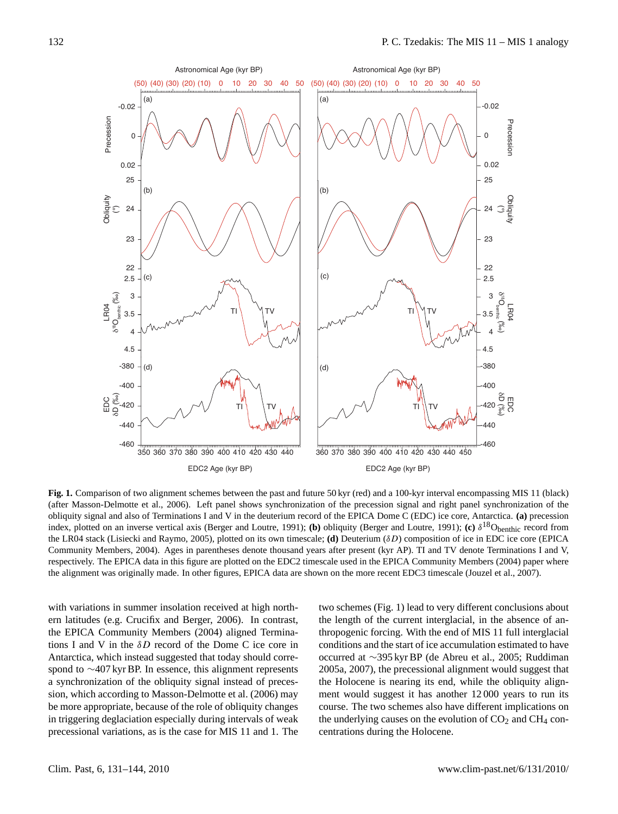

**Fig. 1.** Comparison of two alignment schemes between the past and future 50 kyr (red) and a 100-kyr interval encompassing MIS 11 (black) (after Masson-Delmotte et al., 2006). Left panel shows synchronization of the precession signal and right panel synchronization of the obliquity signal and also of Terminations I and V in the deuterium record of the EPICA Dome C (EDC) ice core, Antarctica. **(a)** precession index, plotted on an inverse vertical axis (Berger and Loutre, 1991); **(b)** obliquity (Berger and Loutre, 1991); **(c)** δ<sup>18</sup>O<sub>benthic</sub> record from the LR04 stack (Lisiecki and Raymo, 2005), plotted on its own timescale; **(d)** Deuterium (δD) composition of ice in EDC ice core (EPICA Community Members, 2004). Ages in parentheses denote thousand years after present (kyr AP). TI and TV denote Terminations I and V, respectively. The EPICA data in this figure are plotted on the EDC2 timescale used in the EPICA Community Members (2004) paper where the alignment was originally made. In other figures, EPICA data are shown on the more recent EDC3 timescale (Jouzel et al., 2007).

with variations in summer insolation received at high northern latitudes (e.g. Crucifix and Berger, 2006). In contrast, the EPICA Community Members (2004) aligned Terminations I and V in the  $\delta D$  record of the Dome C ice core in Antarctica, which instead suggested that today should correspond to ∼407 kyr BP. In essence, this alignment represents a synchronization of the obliquity signal instead of precession, which according to Masson-Delmotte et al. (2006) may be more appropriate, because of the role of obliquity changes in triggering deglaciation especially during intervals of weak precessional variations, as is the case for MIS 11 and 1. The two schemes (Fig. 1) lead to very different conclusions about the length of the current interglacial, in the absence of anthropogenic forcing. With the end of MIS 11 full interglacial conditions and the start of ice accumulation estimated to have occurred at ∼395 kyr BP (de Abreu et al., 2005; Ruddiman 2005a, 2007), the precessional alignment would suggest that the Holocene is nearing its end, while the obliquity alignment would suggest it has another 12 000 years to run its course. The two schemes also have different implications on the underlying causes on the evolution of  $CO<sub>2</sub>$  and  $CH<sub>4</sub>$  concentrations during the Holocene.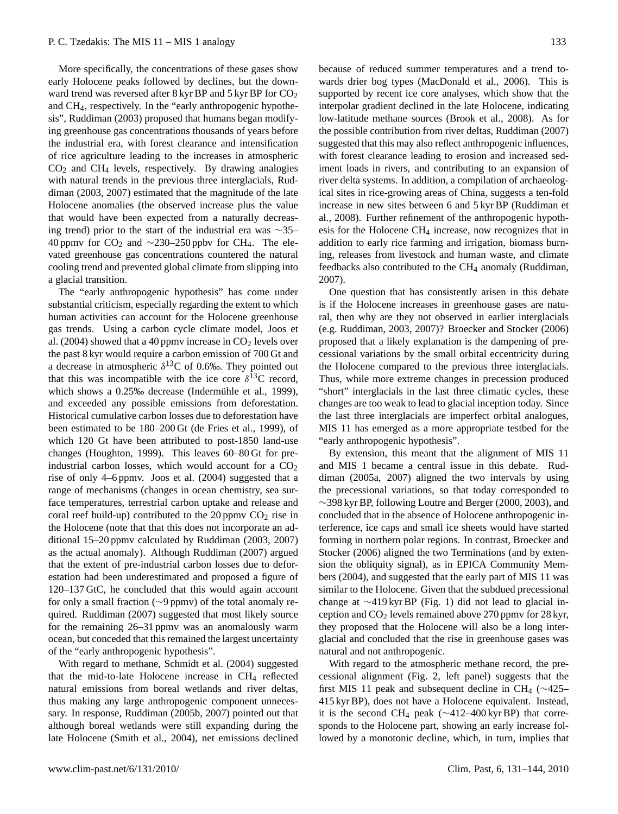More specifically, the concentrations of these gases show early Holocene peaks followed by declines, but the downward trend was reversed after  $8 \,\mathrm{kyr}$  BP and  $5 \,\mathrm{kyr}$  BP for  $\mathrm{CO}_2$ and CH4, respectively. In the "early anthropogenic hypothesis", Ruddiman (2003) proposed that humans began modifying greenhouse gas concentrations thousands of years before the industrial era, with forest clearance and intensification of rice agriculture leading to the increases in atmospheric  $CO<sub>2</sub>$  and CH<sub>4</sub> levels, respectively. By drawing analogies with natural trends in the previous three interglacials, Ruddiman (2003, 2007) estimated that the magnitude of the late Holocene anomalies (the observed increase plus the value that would have been expected from a naturally decreasing trend) prior to the start of the industrial era was ∼35– 40 ppmv for  $CO_2$  and ~230–250 ppbv for CH<sub>4</sub>. The elevated greenhouse gas concentrations countered the natural cooling trend and prevented global climate from slipping into a glacial transition.

The "early anthropogenic hypothesis" has come under substantial criticism, especially regarding the extent to which human activities can account for the Holocene greenhouse gas trends. Using a carbon cycle climate model, Joos et al. (2004) showed that a 40 ppmv increase in  $CO<sub>2</sub>$  levels over the past 8 kyr would require a carbon emission of 700 Gt and a decrease in atmospheric  $\delta^{13}$ C of 0.6‰. They pointed out that this was incompatible with the ice core  $\delta^{13}$ C record, which shows a  $0.25\%$  decrease (Indermühle et al., 1999), and exceeded any possible emissions from deforestation. Historical cumulative carbon losses due to deforestation have been estimated to be 180–200 Gt (de Fries et al., 1999), of which 120 Gt have been attributed to post-1850 land-use changes (Houghton, 1999). This leaves 60–80 Gt for preindustrial carbon losses, which would account for a  $CO<sub>2</sub>$ rise of only 4–6 ppmv. Joos et al. (2004) suggested that a range of mechanisms (changes in ocean chemistry, sea surface temperatures, terrestrial carbon uptake and release and coral reef build-up) contributed to the  $20$  ppmv  $CO<sub>2</sub>$  rise in the Holocene (note that that this does not incorporate an additional 15–20 ppmv calculated by Ruddiman (2003, 2007) as the actual anomaly). Although Ruddiman (2007) argued that the extent of pre-industrial carbon losses due to deforestation had been underestimated and proposed a figure of 120–137 GtC, he concluded that this would again account for only a small fraction (∼9 ppmv) of the total anomaly required. Ruddiman (2007) suggested that most likely source for the remaining 26–31 ppmv was an anomalously warm ocean, but conceded that this remained the largest uncertainty of the "early anthropogenic hypothesis".

With regard to methane, Schmidt et al. (2004) suggested that the mid-to-late Holocene increase in  $CH<sub>4</sub>$  reflected natural emissions from boreal wetlands and river deltas, thus making any large anthropogenic component unnecessary. In response, Ruddiman (2005b, 2007) pointed out that although boreal wetlands were still expanding during the late Holocene (Smith et al., 2004), net emissions declined because of reduced summer temperatures and a trend towards drier bog types (MacDonald et al., 2006). This is supported by recent ice core analyses, which show that the interpolar gradient declined in the late Holocene, indicating low-latitude methane sources (Brook et al., 2008). As for the possible contribution from river deltas, Ruddiman (2007) suggested that this may also reflect anthropogenic influences, with forest clearance leading to erosion and increased sediment loads in rivers, and contributing to an expansion of river delta systems. In addition, a compilation of archaeological sites in rice-growing areas of China, suggests a ten-fold increase in new sites between 6 and 5 kyr BP (Ruddiman et al., 2008). Further refinement of the anthropogenic hypothesis for the Holocene  $CH<sub>4</sub>$  increase, now recognizes that in addition to early rice farming and irrigation, biomass burning, releases from livestock and human waste, and climate feedbacks also contributed to the  $CH<sub>4</sub>$  anomaly (Ruddiman, 2007).

One question that has consistently arisen in this debate is if the Holocene increases in greenhouse gases are natural, then why are they not observed in earlier interglacials (e.g. Ruddiman, 2003, 2007)? Broecker and Stocker (2006) proposed that a likely explanation is the dampening of precessional variations by the small orbital eccentricity during the Holocene compared to the previous three interglacials. Thus, while more extreme changes in precession produced "short" interglacials in the last three climatic cycles, these changes are too weak to lead to glacial inception today. Since the last three interglacials are imperfect orbital analogues, MIS 11 has emerged as a more appropriate testbed for the "early anthropogenic hypothesis".

By extension, this meant that the alignment of MIS 11 and MIS 1 became a central issue in this debate. Ruddiman (2005a, 2007) aligned the two intervals by using the precessional variations, so that today corresponded to ∼398 kyr BP, following Loutre and Berger (2000, 2003), and concluded that in the absence of Holocene anthropogenic interference, ice caps and small ice sheets would have started forming in northern polar regions. In contrast, Broecker and Stocker (2006) aligned the two Terminations (and by extension the obliquity signal), as in EPICA Community Members (2004), and suggested that the early part of MIS 11 was similar to the Holocene. Given that the subdued precessional change at ∼419 kyr BP (Fig. 1) did not lead to glacial inception and  $CO<sub>2</sub>$  levels remained above 270 ppmv for 28 kyr, they proposed that the Holocene will also be a long interglacial and concluded that the rise in greenhouse gases was natural and not anthropogenic.

With regard to the atmospheric methane record, the precessional alignment (Fig. 2, left panel) suggests that the first MIS 11 peak and subsequent decline in CH<sub>4</sub> ( $\sim$ 425– 415 kyr BP), does not have a Holocene equivalent. Instead, it is the second CH<sub>4</sub> peak ( $\sim$ 412–400 kyr BP) that corresponds to the Holocene part, showing an early increase followed by a monotonic decline, which, in turn, implies that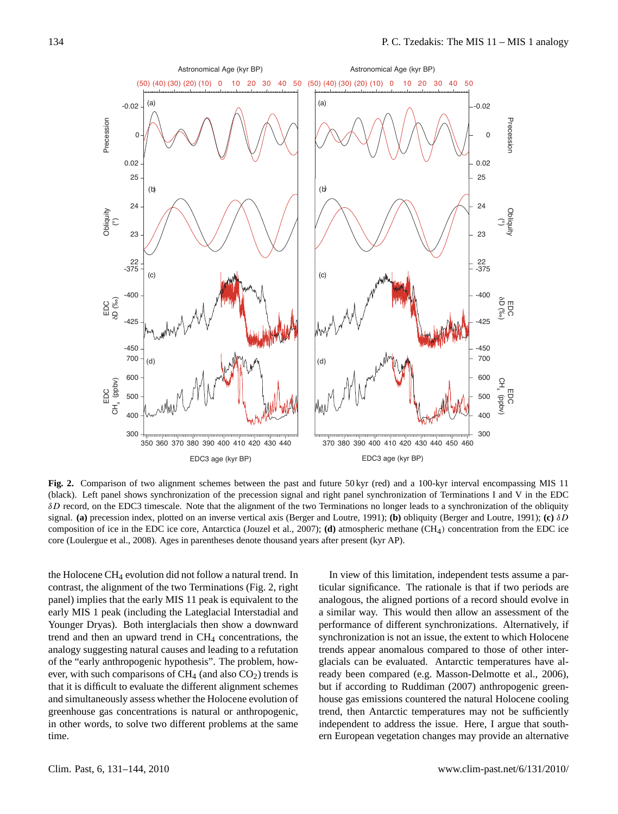

**Fig. 2.** Comparison of two alignment schemes between the past and future 50 kyr (red) and a 100-kyr interval encompassing MIS 11 (black). Left panel shows synchronization of the precession signal and right panel synchronization of Terminations I and V in the EDC  $\delta D$  record, on the EDC3 timescale. Note that the alignment of the two Terminations no longer leads to a synchronization of the obliquity signal. **(a)** precession index, plotted on an inverse vertical axis (Berger and Loutre, 1991); **(b)** obliquity (Berger and Loutre, 1991); **(c)** δD composition of ice in the EDC ice core, Antarctica (Jouzel et al., 2007); **(d)** atmospheric methane (CH4) concentration from the EDC ice core (Loulergue et al., 2008). Ages in parentheses denote thousand years after present (kyr AP).

the Holocene CH<sup>4</sup> evolution did not follow a natural trend. In contrast, the alignment of the two Terminations (Fig. 2, right panel) implies that the early MIS 11 peak is equivalent to the early MIS 1 peak (including the Lateglacial Interstadial and Younger Dryas). Both interglacials then show a downward trend and then an upward trend in  $CH<sub>4</sub>$  concentrations, the analogy suggesting natural causes and leading to a refutation of the "early anthropogenic hypothesis". The problem, however, with such comparisons of  $CH_4$  (and also  $CO_2$ ) trends is that it is difficult to evaluate the different alignment schemes and simultaneously assess whether the Holocene evolution of greenhouse gas concentrations is natural or anthropogenic, in other words, to solve two different problems at the same time.

In view of this limitation, independent tests assume a particular significance. The rationale is that if two periods are analogous, the aligned portions of a record should evolve in a similar way. This would then allow an assessment of the performance of different synchronizations. Alternatively, if synchronization is not an issue, the extent to which Holocene trends appear anomalous compared to those of other interglacials can be evaluated. Antarctic temperatures have already been compared (e.g. Masson-Delmotte et al., 2006), but if according to Ruddiman (2007) anthropogenic greenhouse gas emissions countered the natural Holocene cooling trend, then Antarctic temperatures may not be sufficiently independent to address the issue. Here, I argue that southern European vegetation changes may provide an alternative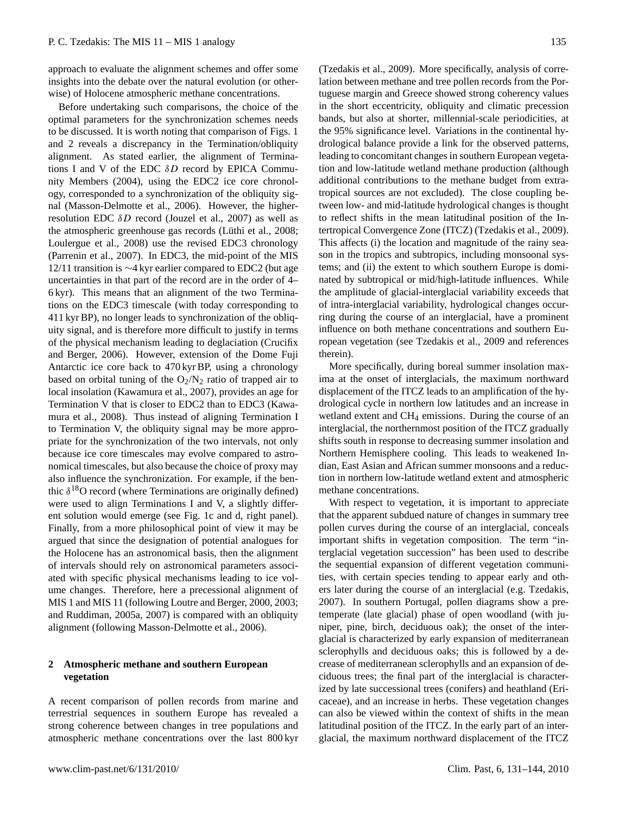approach to evaluate the alignment schemes and offer some insights into the debate over the natural evolution (or otherwise) of Holocene atmospheric methane concentrations.

Before undertaking such comparisons, the choice of the optimal parameters for the synchronization schemes needs to be discussed. It is worth noting that comparison of Figs. 1 and 2 reveals a discrepancy in the Termination/obliquity alignment. As stated earlier, the alignment of Terminations I and V of the EDC  $\delta D$  record by EPICA Community Members (2004), using the EDC2 ice core chronology, corresponded to a synchronization of the obliquity signal (Masson-Delmotte et al., 2006). However, the higherresolution EDC  $\delta D$  record (Jouzel et al., 2007) as well as the atmospheric greenhouse gas records (Lüthi et al., 2008; Loulergue et al., 2008) use the revised EDC3 chronology (Parrenin et al., 2007). In EDC3, the mid-point of the MIS 12/11 transition is ∼4 kyr earlier compared to EDC2 (but age uncertainties in that part of the record are in the order of 4– 6 kyr). This means that an alignment of the two Terminations on the EDC3 timescale (with today corresponding to 411 kyr BP), no longer leads to synchronization of the obliquity signal, and is therefore more difficult to justify in terms of the physical mechanism leading to deglaciation (Crucifix and Berger, 2006). However, extension of the Dome Fuji Antarctic ice core back to 470 kyr BP, using a chronology based on orbital tuning of the  $O_2/N_2$  ratio of trapped air to local insolation (Kawamura et al., 2007), provides an age for Termination V that is closer to EDC2 than to EDC3 (Kawamura et al., 2008). Thus instead of aligning Termination I to Termination V, the obliquity signal may be more appropriate for the synchronization of the two intervals, not only because ice core timescales may evolve compared to astronomical timescales, but also because the choice of proxy may also influence the synchronization. For example, if the benthic  $\delta^{18}$ O record (where Terminations are originally defined) were used to align Terminations I and V, a slightly different solution would emerge (see Fig. 1c and d, right panel). Finally, from a more philosophical point of view it may be argued that since the designation of potential analogues for the Holocene has an astronomical basis, then the alignment of intervals should rely on astronomical parameters associated with specific physical mechanisms leading to ice volume changes. Therefore, here a precessional alignment of MIS 1 and MIS 11 (following Loutre and Berger, 2000, 2003; and Ruddiman, 2005a, 2007) is compared with an obliquity alignment (following Masson-Delmotte et al., 2006).

## **2 Atmospheric methane and southern European vegetation**

A recent comparison of pollen records from marine and terrestrial sequences in southern Europe has revealed a strong coherence between changes in tree populations and atmospheric methane concentrations over the last 800 kyr

(Tzedakis et al., 2009). More specifically, analysis of correlation between methane and tree pollen records from the Portuguese margin and Greece showed strong coherency values in the short eccentricity, obliquity and climatic precession bands, but also at shorter, millennial-scale periodicities, at the 95% significance level. Variations in the continental hydrological balance provide a link for the observed patterns, leading to concomitant changes in southern European vegetation and low-latitude wetland methane production (although additional contributions to the methane budget from extratropical sources are not excluded). The close coupling between low- and mid-latitude hydrological changes is thought to reflect shifts in the mean latitudinal position of the Intertropical Convergence Zone (ITCZ) (Tzedakis et al., 2009). This affects (i) the location and magnitude of the rainy season in the tropics and subtropics, including monsoonal systems; and (ii) the extent to which southern Europe is dominated by subtropical or mid/high-latitude influences. While the amplitude of glacial-interglacial variability exceeds that of intra-interglacial variability, hydrological changes occurring during the course of an interglacial, have a prominent influence on both methane concentrations and southern European vegetation (see Tzedakis et al., 2009 and references therein).

More specifically, during boreal summer insolation maxima at the onset of interglacials, the maximum northward displacement of the ITCZ leads to an amplification of the hydrological cycle in northern low latitudes and an increase in wetland extent and CH<sub>4</sub> emissions. During the course of an interglacial, the northernmost position of the ITCZ gradually shifts south in response to decreasing summer insolation and Northern Hemisphere cooling. This leads to weakened Indian, East Asian and African summer monsoons and a reduction in northern low-latitude wetland extent and atmospheric methane concentrations.

With respect to vegetation, it is important to appreciate that the apparent subdued nature of changes in summary tree pollen curves during the course of an interglacial, conceals important shifts in vegetation composition. The term "interglacial vegetation succession" has been used to describe the sequential expansion of different vegetation communities, with certain species tending to appear early and others later during the course of an interglacial (e.g. Tzedakis, 2007). In southern Portugal, pollen diagrams show a pretemperate (late glacial) phase of open woodland (with juniper, pine, birch, deciduous oak); the onset of the interglacial is characterized by early expansion of mediterranean sclerophylls and deciduous oaks; this is followed by a decrease of mediterranean sclerophylls and an expansion of deciduous trees; the final part of the interglacial is characterized by late successional trees (conifers) and heathland (Ericaceae), and an increase in herbs. These vegetation changes can also be viewed within the context of shifts in the mean latitudinal position of the ITCZ. In the early part of an interglacial, the maximum northward displacement of the ITCZ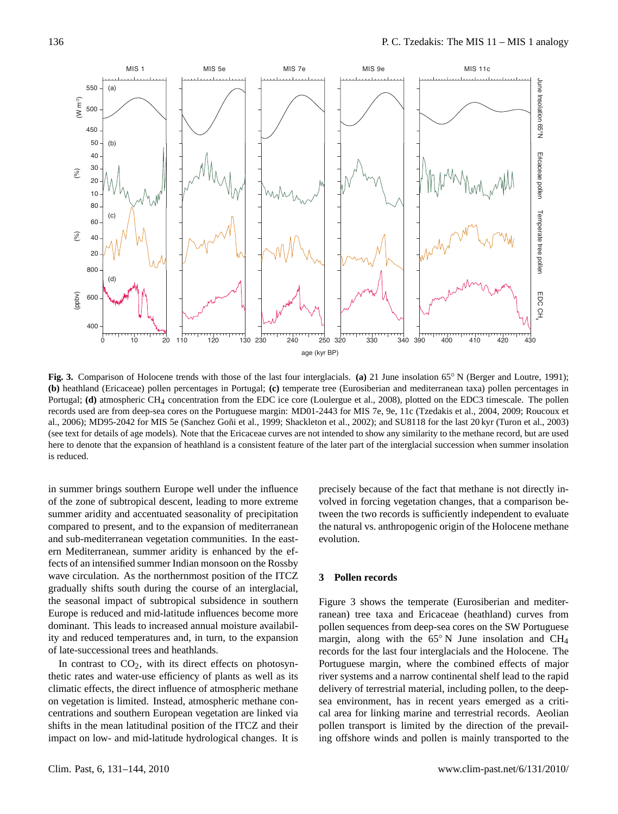

**Fig. 3.** Comparison of Holocene trends with those of the last four interglacials. **(a)** 21 June insolation 65◦ N (Berger and Loutre, 1991); **(b)** heathland (Ericaceae) pollen percentages in Portugal; **(c)** temperate tree (Eurosiberian and mediterranean taxa) pollen percentages in Portugal; **(d)** atmospheric CH<sub>4</sub> concentration from the EDC ice core (Loulergue et al., 2008), plotted on the EDC3 timescale. The pollen records used are from deep-sea cores on the Portuguese margin: MD01-2443 for MIS 7e, 9e, 11c (Tzedakis et al., 2004, 2009; Roucoux et al., 2006); MD95-2042 for MIS 5e (Sanchez Goñi et al., 1999; Shackleton et al., 2002); and SU8118 for the last 20 kyr (Turon et al., 2003) (see text for details of age models). Note that the Ericaceae curves are not intended to show any similarity to the methane record, but are used here to denote that the expansion of heathland is a consistent feature of the later part of the interglacial succession when summer insolation is reduced.

in summer brings southern Europe well under the influence of the zone of subtropical descent, leading to more extreme summer aridity and accentuated seasonality of precipitation compared to present, and to the expansion of mediterranean and sub-mediterranean vegetation communities. In the eastern Mediterranean, summer aridity is enhanced by the effects of an intensified summer Indian monsoon on the Rossby wave circulation. As the northernmost position of the ITCZ gradually shifts south during the course of an interglacial, the seasonal impact of subtropical subsidence in southern Europe is reduced and mid-latitude influences become more dominant. This leads to increased annual moisture availability and reduced temperatures and, in turn, to the expansion of late-successional trees and heathlands.

In contrast to  $CO<sub>2</sub>$ , with its direct effects on photosynthetic rates and water-use efficiency of plants as well as its climatic effects, the direct influence of atmospheric methane on vegetation is limited. Instead, atmospheric methane concentrations and southern European vegetation are linked via shifts in the mean latitudinal position of the ITCZ and their impact on low- and mid-latitude hydrological changes. It is precisely because of the fact that methane is not directly involved in forcing vegetation changes, that a comparison between the two records is sufficiently independent to evaluate the natural vs. anthropogenic origin of the Holocene methane evolution.

#### **3 Pollen records**

Figure 3 shows the temperate (Eurosiberian and mediterranean) tree taxa and Ericaceae (heathland) curves from pollen sequences from deep-sea cores on the SW Portuguese margin, along with the  $65°$  N June insolation and CH<sub>4</sub> records for the last four interglacials and the Holocene. The Portuguese margin, where the combined effects of major river systems and a narrow continental shelf lead to the rapid delivery of terrestrial material, including pollen, to the deepsea environment, has in recent years emerged as a critical area for linking marine and terrestrial records. Aeolian pollen transport is limited by the direction of the prevailing offshore winds and pollen is mainly transported to the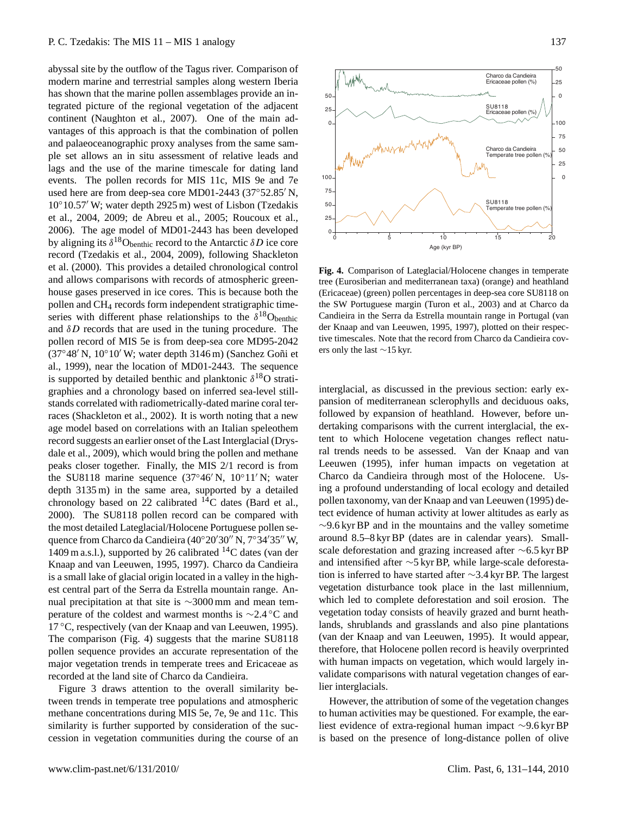abyssal site by the outflow of the Tagus river. Comparison of modern marine and terrestrial samples along western Iberia has shown that the marine pollen assemblages provide an integrated picture of the regional vegetation of the adjacent continent (Naughton et al., 2007). One of the main advantages of this approach is that the combination of pollen and palaeoceanographic proxy analyses from the same sample set allows an in situ assessment of relative leads and lags and the use of the marine timescale for dating land events. The pollen records for MIS 11c, MIS 9e and 7e used here are from deep-sea core MD01-2443 (37°52.85' N,  $10°10.57'$  W; water depth 2925 m) west of Lisbon (Tzedakis et al., 2004, 2009; de Abreu et al., 2005; Roucoux et al., 2006). The age model of MD01-2443 has been developed by aligning its  $\delta^{18}O_{\text{benthic}}$  record to the Antarctic  $\delta D$  ice core record (Tzedakis et al., 2004, 2009), following Shackleton et al. (2000). This provides a detailed chronological control and allows comparisons with records of atmospheric greenhouse gases preserved in ice cores. This is because both the pollen and CH<sup>4</sup> records form independent stratigraphic timeseries with different phase relationships to the  $\delta^{18}O_{\text{benthic}}$ and  $\delta D$  records that are used in the tuning procedure. The pollen record of MIS 5e is from deep-sea core MD95-2042  $(37°48' N, 10°10' W;$  water depth 3146 m) (Sanchez Goñi et al., 1999), near the location of MD01-2443. The sequence is supported by detailed benthic and planktonic  $\delta^{18}O$  stratigraphies and a chronology based on inferred sea-level stillstands correlated with radiometrically-dated marine coral terraces (Shackleton et al., 2002). It is worth noting that a new age model based on correlations with an Italian speleothem record suggests an earlier onset of the Last Interglacial (Drysdale et al., 2009), which would bring the pollen and methane peaks closer together. Finally, the MIS 2/1 record is from the SU8118 marine sequence  $(37°46' N, 10°11' N;$  water depth 3135 m) in the same area, supported by a detailed chronology based on 22 calibrated  $^{14}$ C dates (Bard et al., 2000). The SU8118 pollen record can be compared with the most detailed Lateglacial/Holocene Portuguese pollen sequence from Charco da Candieira (40°20′30″ N, 7°34′35″ W, 1409 m a.s.l.), supported by 26 calibrated  $^{14}$ C dates (van der Knaap and van Leeuwen, 1995, 1997). Charco da Candieira is a small lake of glacial origin located in a valley in the highest central part of the Serra da Estrella mountain range. Annual precipitation at that site is ∼3000 mm and mean temperature of the coldest and warmest months is ∼2.4 ◦C and 17 ◦C, respectively (van der Knaap and van Leeuwen, 1995). The comparison (Fig. 4) suggests that the marine SU8118 pollen sequence provides an accurate representation of the major vegetation trends in temperate trees and Ericaceae as recorded at the land site of Charco da Candieira.

Figure 3 draws attention to the overall similarity between trends in temperate tree populations and atmospheric methane concentrations during MIS 5e, 7e, 9e and 11c. This similarity is further supported by consideration of the succession in vegetation communities during the course of an



**Fig. 4.** Comparison of Lateglacial/Holocene changes in temperate tree (Eurosiberian and mediterranean taxa) (orange) and heathland (Ericaceae) (green) pollen percentages in deep-sea core SU8118 on the SW Portuguese margin (Turon et al., 2003) and at Charco da Candieira in the Serra da Estrella mountain range in Portugal (van der Knaap and van Leeuwen, 1995, 1997), plotted on their respective timescales. Note that the record from Charco da Candieira covers only the last ∼15 kyr.

interglacial, as discussed in the previous section: early expansion of mediterranean sclerophylls and deciduous oaks, followed by expansion of heathland. However, before undertaking comparisons with the current interglacial, the extent to which Holocene vegetation changes reflect natural trends needs to be assessed. Van der Knaap and van Leeuwen (1995), infer human impacts on vegetation at Charco da Candieira through most of the Holocene. Using a profound understanding of local ecology and detailed pollen taxonomy, van der Knaap and van Leeuwen (1995) detect evidence of human activity at lower altitudes as early as ∼9.6 kyr BP and in the mountains and the valley sometime around 8.5–8 kyr BP (dates are in calendar years). Smallscale deforestation and grazing increased after ∼6.5 kyr BP and intensified after ∼5 kyr BP, while large-scale deforestation is inferred to have started after ∼3.4 kyr BP. The largest vegetation disturbance took place in the last millennium, which led to complete deforestation and soil erosion. The vegetation today consists of heavily grazed and burnt heathlands, shrublands and grasslands and also pine plantations (van der Knaap and van Leeuwen, 1995). It would appear, therefore, that Holocene pollen record is heavily overprinted with human impacts on vegetation, which would largely invalidate comparisons with natural vegetation changes of earlier interglacials.

However, the attribution of some of the vegetation changes to human activities may be questioned. For example, the earliest evidence of extra-regional human impact ∼9.6 kyr BP is based on the presence of long-distance pollen of olive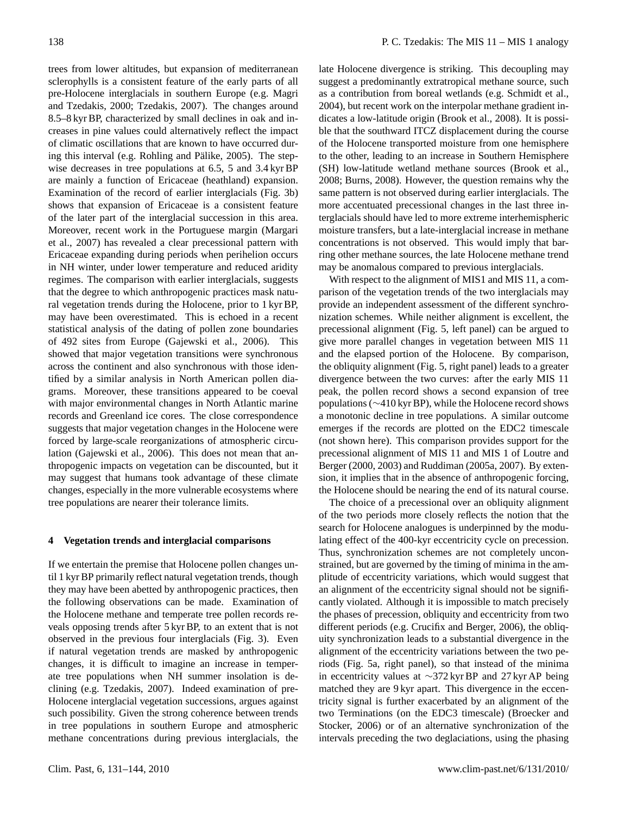trees from lower altitudes, but expansion of mediterranean sclerophylls is a consistent feature of the early parts of all pre-Holocene interglacials in southern Europe (e.g. Magri and Tzedakis, 2000; Tzedakis, 2007). The changes around 8.5–8 kyr BP, characterized by small declines in oak and increases in pine values could alternatively reflect the impact of climatic oscillations that are known to have occurred during this interval (e.g. Rohling and Pälike, 2005). The stepwise decreases in tree populations at 6.5, 5 and 3.4 kyr BP are mainly a function of Ericaceae (heathland) expansion. Examination of the record of earlier interglacials (Fig. 3b) shows that expansion of Ericaceae is a consistent feature of the later part of the interglacial succession in this area. Moreover, recent work in the Portuguese margin (Margari et al., 2007) has revealed a clear precessional pattern with Ericaceae expanding during periods when perihelion occurs in NH winter, under lower temperature and reduced aridity regimes. The comparison with earlier interglacials, suggests that the degree to which anthropogenic practices mask natural vegetation trends during the Holocene, prior to 1 kyr BP, may have been overestimated. This is echoed in a recent statistical analysis of the dating of pollen zone boundaries of 492 sites from Europe (Gajewski et al., 2006). This showed that major vegetation transitions were synchronous across the continent and also synchronous with those identified by a similar analysis in North American pollen diagrams. Moreover, these transitions appeared to be coeval with major environmental changes in North Atlantic marine records and Greenland ice cores. The close correspondence suggests that major vegetation changes in the Holocene were forced by large-scale reorganizations of atmospheric circulation (Gajewski et al., 2006). This does not mean that anthropogenic impacts on vegetation can be discounted, but it may suggest that humans took advantage of these climate changes, especially in the more vulnerable ecosystems where tree populations are nearer their tolerance limits.

#### **4 Vegetation trends and interglacial comparisons**

If we entertain the premise that Holocene pollen changes until 1 kyr BP primarily reflect natural vegetation trends, though they may have been abetted by anthropogenic practices, then the following observations can be made. Examination of the Holocene methane and temperate tree pollen records reveals opposing trends after 5 kyr BP, to an extent that is not observed in the previous four interglacials (Fig. 3). Even if natural vegetation trends are masked by anthropogenic changes, it is difficult to imagine an increase in temperate tree populations when NH summer insolation is declining (e.g. Tzedakis, 2007). Indeed examination of pre-Holocene interglacial vegetation successions, argues against such possibility. Given the strong coherence between trends in tree populations in southern Europe and atmospheric methane concentrations during previous interglacials, the late Holocene divergence is striking. This decoupling may suggest a predominantly extratropical methane source, such as a contribution from boreal wetlands (e.g. Schmidt et al., 2004), but recent work on the interpolar methane gradient indicates a low-latitude origin (Brook et al., 2008). It is possible that the southward ITCZ displacement during the course of the Holocene transported moisture from one hemisphere to the other, leading to an increase in Southern Hemisphere (SH) low-latitude wetland methane sources (Brook et al., 2008; Burns, 2008). However, the question remains why the same pattern is not observed during earlier interglacials. The more accentuated precessional changes in the last three interglacials should have led to more extreme interhemispheric moisture transfers, but a late-interglacial increase in methane concentrations is not observed. This would imply that barring other methane sources, the late Holocene methane trend may be anomalous compared to previous interglacials.

With respect to the alignment of MIS1 and MIS 11, a comparison of the vegetation trends of the two interglacials may provide an independent assessment of the different synchronization schemes. While neither alignment is excellent, the precessional alignment (Fig. 5, left panel) can be argued to give more parallel changes in vegetation between MIS 11 and the elapsed portion of the Holocene. By comparison, the obliquity alignment (Fig. 5, right panel) leads to a greater divergence between the two curves: after the early MIS 11 peak, the pollen record shows a second expansion of tree populations (∼410 kyr BP), while the Holocene record shows a monotonic decline in tree populations. A similar outcome emerges if the records are plotted on the EDC2 timescale (not shown here). This comparison provides support for the precessional alignment of MIS 11 and MIS 1 of Loutre and Berger (2000, 2003) and Ruddiman (2005a, 2007). By extension, it implies that in the absence of anthropogenic forcing, the Holocene should be nearing the end of its natural course.

The choice of a precessional over an obliquity alignment of the two periods more closely reflects the notion that the search for Holocene analogues is underpinned by the modulating effect of the 400-kyr eccentricity cycle on precession. Thus, synchronization schemes are not completely unconstrained, but are governed by the timing of minima in the amplitude of eccentricity variations, which would suggest that an alignment of the eccentricity signal should not be significantly violated. Although it is impossible to match precisely the phases of precession, obliquity and eccentricity from two different periods (e.g. Crucifix and Berger, 2006), the obliquity synchronization leads to a substantial divergence in the alignment of the eccentricity variations between the two periods (Fig. 5a, right panel), so that instead of the minima in eccentricity values at ∼372 kyr BP and 27 kyr AP being matched they are 9 kyr apart. This divergence in the eccentricity signal is further exacerbated by an alignment of the two Terminations (on the EDC3 timescale) (Broecker and Stocker, 2006) or of an alternative synchronization of the intervals preceding the two deglaciations, using the phasing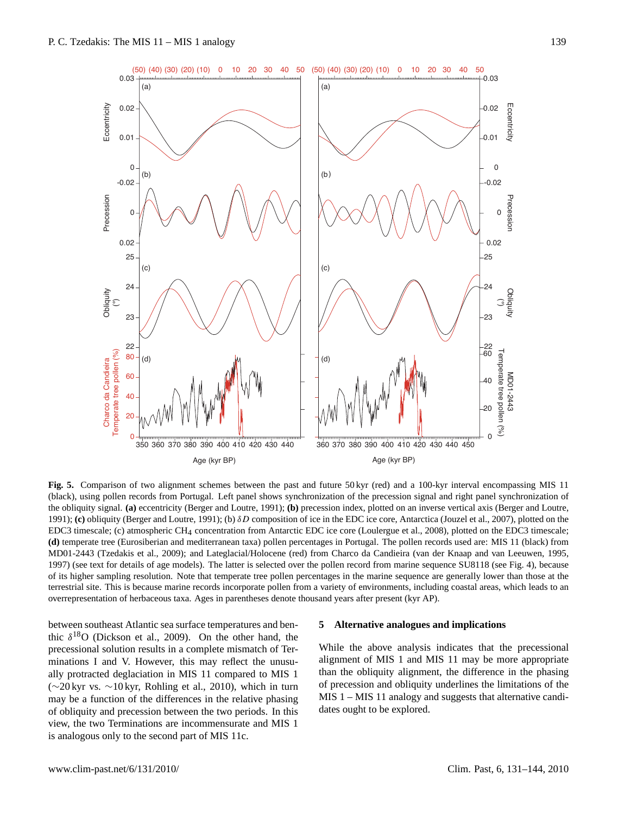

**Fig. 5.** Comparison of two alignment schemes between the past and future 50 kyr (red) and a 100-kyr interval encompassing MIS 11 (black), using pollen records from Portugal. Left panel shows synchronization of the precession signal and right panel synchronization of the obliquity signal. **(a)** eccentricity (Berger and Loutre, 1991); **(b)** precession index, plotted on an inverse vertical axis (Berger and Loutre, 1991); **(c)** obliquity (Berger and Loutre, 1991); (b) δD composition of ice in the EDC ice core, Antarctica (Jouzel et al., 2007), plotted on the EDC3 timescale; (c) atmospheric CH4 concentration from Antarctic EDC ice core (Loulergue et al., 2008), plotted on the EDC3 timescale; **(d)** temperate tree (Eurosiberian and mediterranean taxa) pollen percentages in Portugal. The pollen records used are: MIS 11 (black) from MD01-2443 (Tzedakis et al., 2009); and Lateglacial/Holocene (red) from Charco da Candieira (van der Knaap and van Leeuwen, 1995, 1997) (see text for details of age models). The latter is selected over the pollen record from marine sequence SU8118 (see Fig. 4), because of its higher sampling resolution. Note that temperate tree pollen percentages in the marine sequence are generally lower than those at the terrestrial site. This is because marine records incorporate pollen from a variety of environments, including coastal areas, which leads to an overrepresentation of herbaceous taxa. Ages in parentheses denote thousand years after present (kyr AP).

between southeast Atlantic sea surface temperatures and benthic  $\delta^{18}$ O (Dickson et al., 2009). On the other hand, the precessional solution results in a complete mismatch of Terminations I and V. However, this may reflect the unusually protracted deglaciation in MIS 11 compared to MIS 1 (∼20 kyr vs. ∼10 kyr, Rohling et al., 2010), which in turn may be a function of the differences in the relative phasing of obliquity and precession between the two periods. In this view, the two Terminations are incommensurate and MIS 1 is analogous only to the second part of MIS 11c.

## **5 Alternative analogues and implications**

While the above analysis indicates that the precessional alignment of MIS 1 and MIS 11 may be more appropriate than the obliquity alignment, the difference in the phasing of precession and obliquity underlines the limitations of the MIS 1 – MIS 11 analogy and suggests that alternative candidates ought to be explored.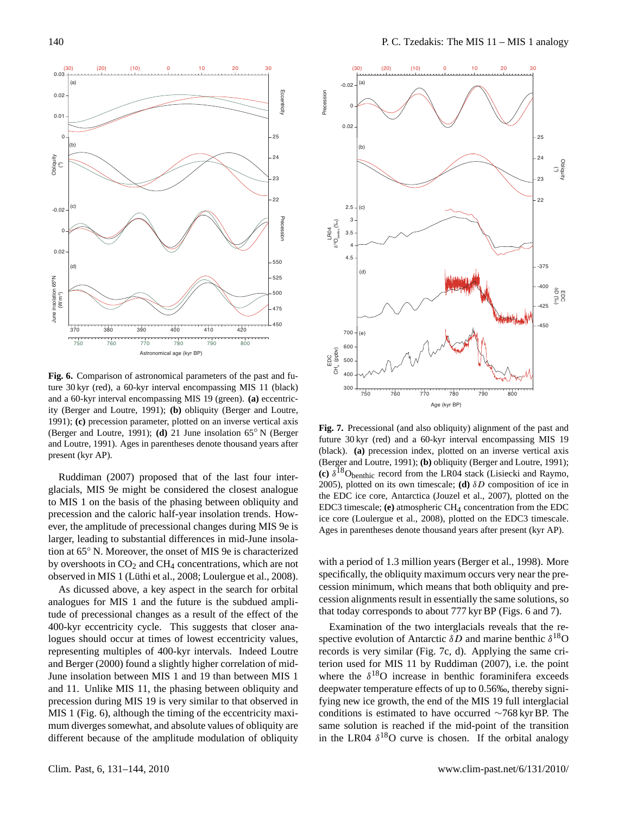

**Fig. 6.** Comparison of astronomical parameters of the past and future 30 kyr (red), a 60-kyr interval encompassing MIS 11 (black) and a 60-kyr interval encompassing MIS 19 (green). **(a)** eccentricity (Berger and Loutre, 1991); **(b)** obliquity (Berger and Loutre, 1991); **(c)** precession parameter, plotted on an inverse vertical axis (Berger and Loutre, 1991); **(d)** 21 June insolation 65◦ N (Berger and Loutre, 1991). Ages in parentheses denote thousand years after present (kyr AP).

Ruddiman (2007) proposed that of the last four interglacials, MIS 9e might be considered the closest analogue to MIS 1 on the basis of the phasing between obliquity and precession and the caloric half-year insolation trends. However, the amplitude of precessional changes during MIS 9e is larger, leading to substantial differences in mid-June insolation at 65◦ N. Moreover, the onset of MIS 9e is characterized by overshoots in  $CO<sub>2</sub>$  and  $CH<sub>4</sub>$  concentrations, which are not observed in MIS 1 (Lüthi et al., 2008; Loulergue et al., 2008).

As dicussed above, a key aspect in the search for orbital analogues for MIS 1 and the future is the subdued amplitude of precessional changes as a result of the effect of the 400-kyr eccentricity cycle. This suggests that closer analogues should occur at times of lowest eccentricity values, representing multiples of 400-kyr intervals. Indeed Loutre and Berger (2000) found a slightly higher correlation of mid-June insolation between MIS 1 and 19 than between MIS 1 and 11. Unlike MIS 11, the phasing between obliquity and precession during MIS 19 is very similar to that observed in MIS 1 (Fig. 6), although the timing of the eccentricity maximum diverges somewhat, and absolute values of obliquity are different because of the amplitude modulation of obliquity



**Fig. 7.** Precessional (and also obliquity) alignment of the past and future 30 kyr (red) and a 60-kyr interval encompassing MIS 19 (black). **(a)** precession index, plotted on an inverse vertical axis (Berger and Loutre, 1991); **(b)** obliquity (Berger and Loutre, 1991); (c)  $\delta^{18}O_{\text{benthic}}$  record from the LR04 stack (Lisiecki and Raymo, 2005), plotted on its own timescale; **(d)**  $\delta D$  composition of ice in the EDC ice core, Antarctica (Jouzel et al., 2007), plotted on the EDC3 timescale; **(e)** atmospheric CH4 concentration from the EDC ice core (Loulergue et al., 2008), plotted on the EDC3 timescale. Ages in parentheses denote thousand years after present (kyr AP).

with a period of 1.3 million years (Berger et al., 1998). More specifically, the obliquity maximum occurs very near the precession minimum, which means that both obliquity and precession alignments result in essentially the same solutions, so that today corresponds to about 777 kyr BP (Figs. 6 and 7).

Examination of the two interglacials reveals that the respective evolution of Antarctic  $\delta D$  and marine benthic  $\delta^{18}O$ records is very similar (Fig. 7c, d). Applying the same criterion used for MIS 11 by Ruddiman (2007), i.e. the point where the  $\delta^{18}$ O increase in benthic foraminifera exceeds deepwater temperature effects of up to 0.56‰, thereby signifying new ice growth, the end of the MIS 19 full interglacial conditions is estimated to have occurred ∼768 kyr BP. The same solution is reached if the mid-point of the transition in the LR04  $\delta^{18}$ O curve is chosen. If the orbital analogy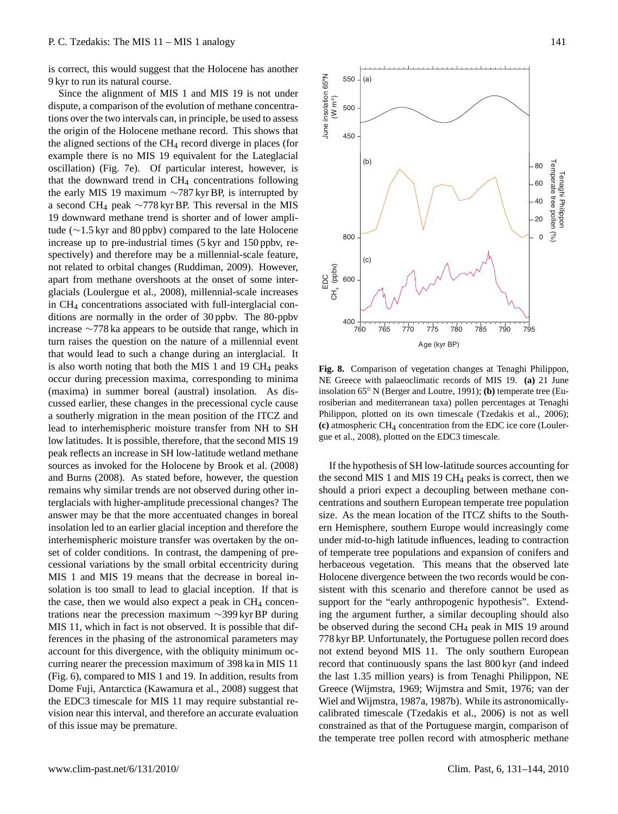is correct, this would suggest that the Holocene has another 9 kyr to run its natural course.

Since the alignment of MIS 1 and MIS 19 is not under dispute, a comparison of the evolution of methane concentrations over the two intervals can, in principle, be used to assess the origin of the Holocene methane record. This shows that the aligned sections of the  $CH_4$  record diverge in places (for example there is no MIS 19 equivalent for the Lateglacial oscillation) (Fig. 7e). Of particular interest, however, is that the downward trend in CH<sub>4</sub> concentrations following the early MIS 19 maximum ∼787 kyr BP, is interrupted by a second CH<sup>4</sup> peak ∼778 kyr BP. This reversal in the MIS 19 downward methane trend is shorter and of lower amplitude (∼1.5 kyr and 80 ppbv) compared to the late Holocene increase up to pre-industrial times (5 kyr and 150 ppbv, respectively) and therefore may be a millennial-scale feature, not related to orbital changes (Ruddiman, 2009). However, apart from methane overshoots at the onset of some interglacials (Loulergue et al., 2008), millennial-scale increases in CH<sup>4</sup> concentrations associated with full-interglacial conditions are normally in the order of 30 ppbv. The 80-ppbv increase ∼778 ka appears to be outside that range, which in turn raises the question on the nature of a millennial event that would lead to such a change during an interglacial. It is also worth noting that both the MIS 1 and 19  $CH<sub>4</sub>$  peaks occur during precession maxima, corresponding to minima (maxima) in summer boreal (austral) insolation. As discussed earlier, these changes in the precessional cycle cause a southerly migration in the mean position of the ITCZ and lead to interhemispheric moisture transfer from NH to SH low latitudes. It is possible, therefore, that the second MIS 19 peak reflects an increase in SH low-latitude wetland methane sources as invoked for the Holocene by Brook et al. (2008) and Burns (2008). As stated before, however, the question remains why similar trends are not observed during other interglacials with higher-amplitude precessional changes? The answer may be that the more accentuated changes in boreal insolation led to an earlier glacial inception and therefore the interhemispheric moisture transfer was overtaken by the onset of colder conditions. In contrast, the dampening of precessional variations by the small orbital eccentricity during MIS 1 and MIS 19 means that the decrease in boreal insolation is too small to lead to glacial inception. If that is the case, then we would also expect a peak in  $CH<sub>4</sub>$  concentrations near the precession maximum ∼399 kyr BP during MIS 11, which in fact is not observed. It is possible that differences in the phasing of the astronomical parameters may account for this divergence, with the obliquity minimum occurring nearer the precession maximum of 398 ka in MIS 11 (Fig. 6), compared to MIS 1 and 19. In addition, results from Dome Fuji, Antarctica (Kawamura et al., 2008) suggest that the EDC3 timescale for MIS 11 may require substantial revision near this interval, and therefore an accurate evaluation of this issue may be premature.



**Fig. 8.** Comparison of vegetation changes at Tenaghi Philippon, NE Greece with palaeoclimatic records of MIS 19. **(a)** 21 June insolation 65◦ N (Berger and Loutre, 1991); **(b)** temperate tree (Eurosiberian and mediterranean taxa) pollen percentages at Tenaghi Philippon, plotted on its own timescale (Tzedakis et al., 2006); **(c)** atmospheric CH4 concentration from the EDC ice core (Loulergue et al., 2008), plotted on the EDC3 timescale.

If the hypothesis of SH low-latitude sources accounting for the second MIS 1 and MIS 19 CH<sup>4</sup> peaks is correct, then we should a priori expect a decoupling between methane concentrations and southern European temperate tree population size. As the mean location of the ITCZ shifts to the Southern Hemisphere, southern Europe would increasingly come under mid-to-high latitude influences, leading to contraction of temperate tree populations and expansion of conifers and herbaceous vegetation. This means that the observed late Holocene divergence between the two records would be consistent with this scenario and therefore cannot be used as support for the "early anthropogenic hypothesis". Extending the argument further, a similar decoupling should also be observed during the second CH<sup>4</sup> peak in MIS 19 around 778 kyr BP. Unfortunately, the Portuguese pollen record does not extend beyond MIS 11. The only southern European record that continuously spans the last 800 kyr (and indeed the last 1.35 million years) is from Tenaghi Philippon, NE Greece (Wijmstra, 1969; Wijmstra and Smit, 1976; van der Wiel and Wijmstra, 1987a, 1987b). While its astronomicallycalibrated timescale (Tzedakis et al., 2006) is not as well constrained as that of the Portuguese margin, comparison of the temperate tree pollen record with atmospheric methane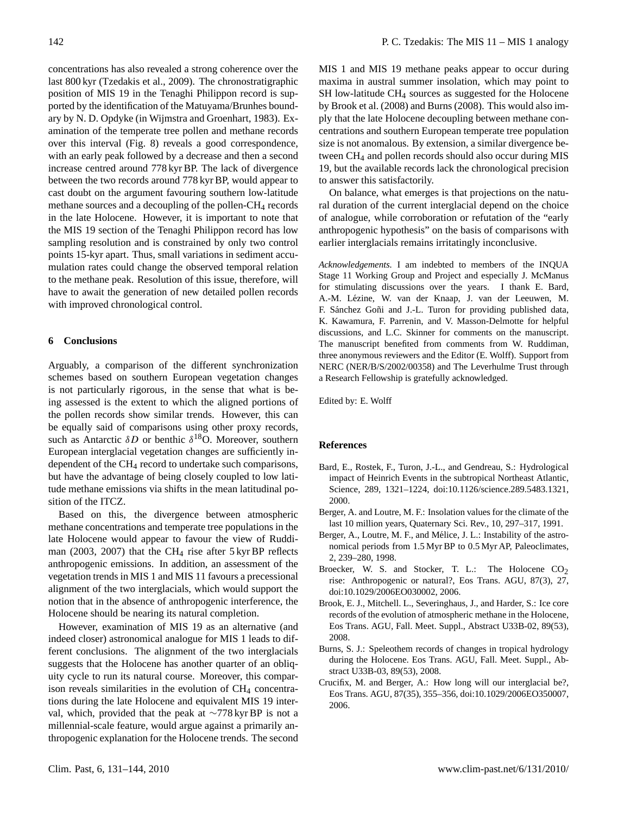concentrations has also revealed a strong coherence over the last 800 kyr (Tzedakis et al., 2009). The chronostratigraphic position of MIS 19 in the Tenaghi Philippon record is supported by the identification of the Matuyama/Brunhes boundary by N. D. Opdyke (in Wijmstra and Groenhart, 1983). Examination of the temperate tree pollen and methane records over this interval (Fig. 8) reveals a good correspondence, with an early peak followed by a decrease and then a second increase centred around 778 kyr BP. The lack of divergence between the two records around 778 kyr BP, would appear to cast doubt on the argument favouring southern low-latitude methane sources and a decoupling of the pollen- $CH<sub>4</sub>$  records in the late Holocene. However, it is important to note that the MIS 19 section of the Tenaghi Philippon record has low sampling resolution and is constrained by only two control points 15-kyr apart. Thus, small variations in sediment accumulation rates could change the observed temporal relation to the methane peak. Resolution of this issue, therefore, will have to await the generation of new detailed pollen records with improved chronological control.

## **6 Conclusions**

Arguably, a comparison of the different synchronization schemes based on southern European vegetation changes is not particularly rigorous, in the sense that what is being assessed is the extent to which the aligned portions of the pollen records show similar trends. However, this can be equally said of comparisons using other proxy records, such as Antarctic  $\delta D$  or benthic  $\delta^{18}O$ . Moreover, southern European interglacial vegetation changes are sufficiently independent of the CH<sup>4</sup> record to undertake such comparisons, but have the advantage of being closely coupled to low latitude methane emissions via shifts in the mean latitudinal position of the ITCZ.

Based on this, the divergence between atmospheric methane concentrations and temperate tree populations in the late Holocene would appear to favour the view of Ruddiman (2003, 2007) that the CH<sub>4</sub> rise after  $5 \,\text{kyr}$  BP reflects anthropogenic emissions. In addition, an assessment of the vegetation trends in MIS 1 and MIS 11 favours a precessional alignment of the two interglacials, which would support the notion that in the absence of anthropogenic interference, the Holocene should be nearing its natural completion.

However, examination of MIS 19 as an alternative (and indeed closer) astronomical analogue for MIS 1 leads to different conclusions. The alignment of the two interglacials suggests that the Holocene has another quarter of an obliquity cycle to run its natural course. Moreover, this comparison reveals similarities in the evolution of  $CH<sub>4</sub>$  concentrations during the late Holocene and equivalent MIS 19 interval, which, provided that the peak at ∼778 kyr BP is not a millennial-scale feature, would argue against a primarily anthropogenic explanation for the Holocene trends. The second MIS 1 and MIS 19 methane peaks appear to occur during maxima in austral summer insolation, which may point to SH low-latitude CH<sub>4</sub> sources as suggested for the Holocene by Brook et al. (2008) and Burns (2008). This would also imply that the late Holocene decoupling between methane concentrations and southern European temperate tree population size is not anomalous. By extension, a similar divergence between CH<sup>4</sup> and pollen records should also occur during MIS 19, but the available records lack the chronological precision to answer this satisfactorily.

On balance, what emerges is that projections on the natural duration of the current interglacial depend on the choice of analogue, while corroboration or refutation of the "early anthropogenic hypothesis" on the basis of comparisons with earlier interglacials remains irritatingly inconclusive.

*Acknowledgements.* I am indebted to members of the INQUA Stage 11 Working Group and Project and especially J. McManus for stimulating discussions over the years. I thank E. Bard, A.-M. Lézine, W. van der Knaap, J. van der Leeuwen, M. F. Sánchez Goñi and J.-L. Turon for providing published data, K. Kawamura, F. Parrenin, and V. Masson-Delmotte for helpful discussions, and L.C. Skinner for comments on the manuscript. The manuscript benefited from comments from W. Ruddiman, three anonymous reviewers and the Editor (E. Wolff). Support from NERC (NER/B/S/2002/00358) and The Leverhulme Trust through a Research Fellowship is gratefully acknowledged.

Edited by: E. Wolff

#### **References**

- Bard, E., Rostek, F., Turon, J.-L., and Gendreau, S.: Hydrological impact of Heinrich Events in the subtropical Northeast Atlantic, Science, 289, 1321–1224, doi:10.1126/science.289.5483.1321, 2000.
- Berger, A. and Loutre, M. F.: Insolation values for the climate of the last 10 million years, Quaternary Sci. Rev., 10, 297–317, 1991.
- Berger, A., Loutre, M. F., and Mélice, J. L.: Instability of the astronomical periods from 1.5 Myr BP to 0.5 Myr AP, Paleoclimates, 2, 239–280, 1998.
- Broecker, W. S. and Stocker, T. L.: The Holocene  $CO<sub>2</sub>$ rise: Anthropogenic or natural?, Eos Trans. AGU, 87(3), 27, doi:10.1029/2006EO030002, 2006.
- Brook, E. J., Mitchell. L., Severinghaus, J., and Harder, S.: Ice core records of the evolution of atmospheric methane in the Holocene, Eos Trans. AGU, Fall. Meet. Suppl., Abstract U33B-02, 89(53), 2008.
- Burns, S. J.: Speleothem records of changes in tropical hydrology during the Holocene. Eos Trans. AGU, Fall. Meet. Suppl., Abstract U33B-03, 89(53), 2008.
- Crucifix, M. and Berger, A.: How long will our interglacial be?, Eos Trans. AGU, 87(35), 355–356, doi:10.1029/2006EO350007, 2006.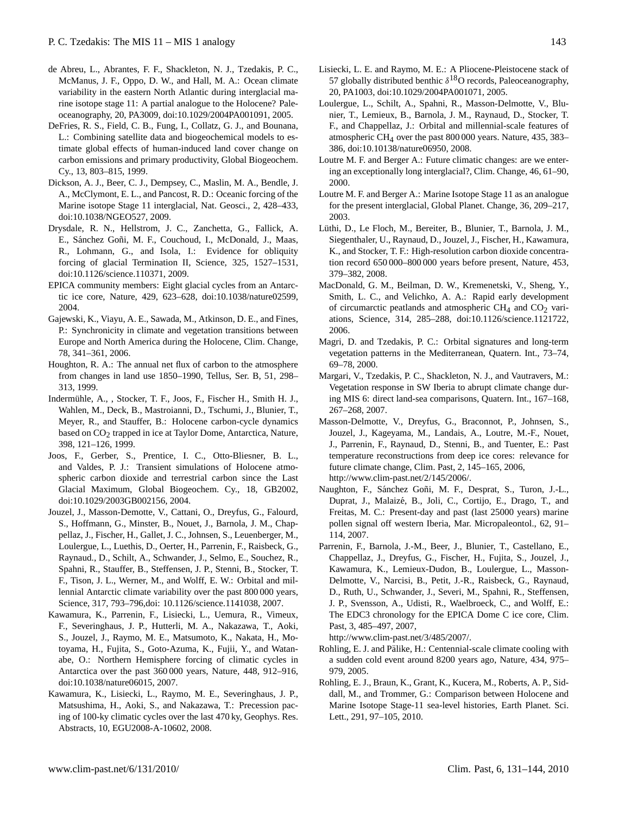- de Abreu, L., Abrantes, F. F., Shackleton, N. J., Tzedakis, P. C., McManus, J. F., Oppo, D. W., and Hall, M. A.: Ocean climate variability in the eastern North Atlantic during interglacial marine isotope stage 11: A partial analogue to the Holocene? Paleoceanography, 20, PA3009, doi:10.1029/2004PA001091, 2005.
- DeFries, R. S., Field, C. B., Fung, I., Collatz, G. J., and Bounana, L.: Combining satellite data and biogeochemical models to estimate global effects of human-induced land cover change on carbon emissions and primary productivity, Global Biogeochem. Cy., 13, 803–815, 1999.
- Dickson, A. J., Beer, C. J., Dempsey, C., Maslin, M. A., Bendle, J. A., McClymont, E. L., and Pancost, R. D.: Oceanic forcing of the Marine isotope Stage 11 interglacial, Nat. Geosci., 2, 428–433, doi:10.1038/NGEO527, 2009.
- Drysdale, R. N., Hellstrom, J. C., Zanchetta, G., Fallick, A. E., Sánchez Goñi, M. F., Couchoud, I., McDonald, J., Maas, R., Lohmann, G., and Isola, I.: Evidence for obliquity forcing of glacial Termination II, Science, 325, 1527–1531, doi:10.1126/science.110371, 2009.
- EPICA community members: Eight glacial cycles from an Antarctic ice core, Nature, 429, 623–628, doi:10.1038/nature02599, 2004.
- Gajewski, K., Viayu, A. E., Sawada, M., Atkinson, D. E., and Fines, P.: Synchronicity in climate and vegetation transitions between Europe and North America during the Holocene, Clim. Change, 78, 341–361, 2006.
- Houghton, R. A.: The annual net flux of carbon to the atmosphere from changes in land use 1850–1990, Tellus, Ser. B, 51, 298– 313, 1999.
- Indermuhle, A., , Stocker, T. F., Joos, F., Fischer H., Smith H. J., ¨ Wahlen, M., Deck, B., Mastroianni, D., Tschumi, J., Blunier, T., Meyer, R., and Stauffer, B.: Holocene carbon-cycle dynamics based on  $CO<sub>2</sub>$  trapped in ice at Taylor Dome, Antarctica, Nature, 398, 121–126, 1999.
- Joos, F., Gerber, S., Prentice, I. C., Otto-Bliesner, B. L., and Valdes, P. J.: Transient simulations of Holocene atmospheric carbon dioxide and terrestrial carbon since the Last Glacial Maximum, Global Biogeochem. Cy., 18, GB2002, doi:10.1029/2003GB002156, 2004.
- Jouzel, J., Masson-Demotte, V., Cattani, O., Dreyfus, G., Falourd, S., Hoffmann, G., Minster, B., Nouet, J., Barnola, J. M., Chappellaz, J., Fischer, H., Gallet, J. C., Johnsen, S., Leuenberger, M., Loulergue, L., Luethis, D., Oerter, H., Parrenin, F., Raisbeck, G., Raynaud., D., Schilt, A., Schwander, J., Selmo, E., Souchez, R., Spahni, R., Stauffer, B., Steffensen, J. P., Stenni, B., Stocker, T. F., Tison, J. L., Werner, M., and Wolff, E. W.: Orbital and millennial Antarctic climate variability over the past 800 000 years, Science, 317, 793–796,doi: 10.1126/science.1141038, 2007.
- Kawamura, K., Parrenin, F., Lisiecki, L., Uemura, R., Vimeux, F., Severinghaus, J. P., Hutterli, M. A., Nakazawa, T., Aoki, S., Jouzel, J., Raymo, M. E., Matsumoto, K., Nakata, H., Motoyama, H., Fujita, S., Goto-Azuma, K., Fujii, Y., and Watanabe, O.: Northern Hemisphere forcing of climatic cycles in Antarctica over the past 360 000 years, Nature, 448, 912–916, doi:10.1038/nature06015, 2007.
- Kawamura, K., Lisiecki, L., Raymo, M. E., Severinghaus, J. P., Matsushima, H., Aoki, S., and Nakazawa, T.: Precession pacing of 100-ky climatic cycles over the last 470 ky, Geophys. Res. Abstracts, 10, EGU2008-A-10602, 2008.
- Lisiecki, L. E. and Raymo, M. E.: A Pliocene-Pleistocene stack of 57 globally distributed benthic  $\delta^{18}$ O records, Paleoceanography, 20, PA1003, doi:10.1029/2004PA001071, 2005.
- Loulergue, L., Schilt, A., Spahni, R., Masson-Delmotte, V., Blunier, T., Lemieux, B., Barnola, J. M., Raynaud, D., Stocker, T. F., and Chappellaz, J.: Orbital and millennial-scale features of atmospheric CH<sub>4</sub> over the past 800 000 years. Nature, 435, 383– 386, doi:10.10138/nature06950, 2008.
- Loutre M. F. and Berger A.: Future climatic changes: are we entering an exceptionally long interglacial?, Clim. Change, 46, 61–90, 2000.
- Loutre M. F. and Berger A.: Marine Isotope Stage 11 as an analogue for the present interglacial, Global Planet. Change, 36, 209–217, 2003.
- Lüthi, D., Le Floch, M., Bereiter, B., Blunier, T., Barnola, J. M., Siegenthaler, U., Raynaud, D., Jouzel, J., Fischer, H., Kawamura, K., and Stocker, T. F.: High-resolution carbon dioxide concentration record 650 000–800 000 years before present, Nature, 453, 379–382, 2008.
- MacDonald, G. M., Beilman, D. W., Kremenetski, V., Sheng, Y., Smith, L. C., and Velichko, A. A.: Rapid early development of circumarctic peatlands and atmospheric CH<sub>4</sub> and CO<sub>2</sub> variations, Science, 314, 285–288, doi:10.1126/science.1121722, 2006.
- Magri, D. and Tzedakis, P. C.: Orbital signatures and long-term vegetation patterns in the Mediterranean, Quatern. Int., 73–74, 69–78, 2000.
- Margari, V., Tzedakis, P. C., Shackleton, N. J., and Vautravers, M.: Vegetation response in SW Iberia to abrupt climate change during MIS 6: direct land-sea comparisons, Quatern. Int., 167–168, 267–268, 2007.
- Masson-Delmotte, V., Dreyfus, G., Braconnot, P., Johnsen, S., Jouzel, J., Kageyama, M., Landais, A., Loutre, M.-F., Nouet, J., Parrenin, F., Raynaud, D., Stenni, B., and Tuenter, E.: Past temperature reconstructions from deep ice cores: relevance for future climate change, Clim. Past, 2, 145–165, 2006, [http://www.clim-past.net/2/145/2006/.](http://www.clim-past.net/2/145/2006/)
- Naughton, F., Sánchez Goñi, M. F., Desprat, S., Turon, J.-L., Duprat, J., Malaizé, B., Joli, C., Cortijo, E., Drago, T., and Freitas, M. C.: Present-day and past (last 25000 years) marine pollen signal off western Iberia, Mar. Micropaleontol., 62, 91– 114, 2007.
- Parrenin, F., Barnola, J.-M., Beer, J., Blunier, T., Castellano, E., Chappellaz, J., Dreyfus, G., Fischer, H., Fujita, S., Jouzel, J., Kawamura, K., Lemieux-Dudon, B., Loulergue, L., Masson-Delmotte, V., Narcisi, B., Petit, J.-R., Raisbeck, G., Raynaud, D., Ruth, U., Schwander, J., Severi, M., Spahni, R., Steffensen, J. P., Svensson, A., Udisti, R., Waelbroeck, C., and Wolff, E.: The EDC3 chronology for the EPICA Dome C ice core, Clim. Past, 3, 485–497, 2007,

[http://www.clim-past.net/3/485/2007/.](http://www.clim-past.net/3/485/2007/)

- Rohling, E. J. and Pälike, H.: Centennial-scale climate cooling with a sudden cold event around 8200 years ago, Nature, 434, 975– 979, 2005.
- Rohling, E. J., Braun, K., Grant, K., Kucera, M., Roberts, A. P., Siddall, M., and Trommer, G.: Comparison between Holocene and Marine Isotope Stage-11 sea-level histories, Earth Planet. Sci. Lett., 291, 97–105, 2010.